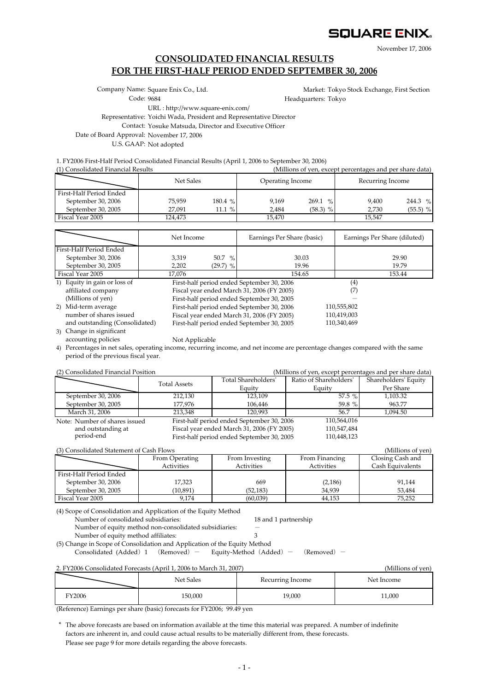# SQUARE ENIX.

November 17, 2006

## **CONSOLIDATED FINANCIAL RESULTS FOR THE FIRST-HALF PERIOD ENDED SEPTEMBER 30, 2006**

Company Name: Square Enix Co., Ltd.

Market: Tokyo Stock Exchange, First Section Headquarters: Tokyo

Code: 9684

URL : http://www.square-enix.com/

Representative: Yoichi Wada, President and Representative Director

Contact: Yosuke Matsuda, Director and Executive Officer

Date of Board Approval: November 17, 2006

U.S. GAAP: Not adopted

1. FY2006 First-Half Period Consolidated Financial Results (April 1, 2006 to September 30, 2006)

(1) Consolidated Financial Results (Millions of yen, except percentages and per share data)

|                         | Net Sales |          | Operating Income |                        | Recurring Income |            |  |
|-------------------------|-----------|----------|------------------|------------------------|------------------|------------|--|
| First-Half Period Ended |           |          |                  |                        |                  |            |  |
| September 30, 2006      | 75.959    | 180.4%   | 9.169            | 269.1<br>$\frac{0}{6}$ | 9.400            | 244.3 $%$  |  |
| September 30, 2005      | 27.091    | 11.1 $%$ | 2.484            | $(58.3)$ %             | 2.730            | $(55.5)$ % |  |
| Fiscal Year 2005        | 124.473   |          | 15.470           |                        | 15.547           |            |  |

|                                | Net Income |                                            | Earnings Per Share (basic)                 | Earnings Per Share (diluted) |
|--------------------------------|------------|--------------------------------------------|--------------------------------------------|------------------------------|
| First-Half Period Ended        |            |                                            |                                            |                              |
| September 30, 2006             | 3.319      | $50.7\%$                                   | 30.03                                      | 29.90                        |
| September 30, 2005             | 2,202      | $(29.7)$ %                                 | 19.96                                      | 19.79                        |
| Fiscal Year 2005               | 17,076     |                                            | 154.65                                     | 153.44                       |
| 1) Equity in gain or loss of   |            |                                            | First-half period ended September 30, 2006 | $^{(4)}$                     |
| affiliated company             |            |                                            | Fiscal year ended March 31, 2006 (FY 2005) | (7)                          |
| (Millions of yen)              |            |                                            | First-half period ended September 30, 2005 |                              |
| 2) Mid-term average            |            | First-half period ended September 30, 2006 |                                            | 110,555,802                  |
| number of shares issued        |            |                                            | Fiscal year ended March 31, 2006 (FY 2005) | 110,419,003                  |
| and outstanding (Consolidated) |            |                                            | First-half period ended September 30, 2005 | 110,340,469                  |

3) Change in significant accounting policies

Not Applicable

4) Percentages in net sales, operating income, recurring income, and net income are percentage changes compared with the same period of the previous fiscal year.

(2) Consolidated Financial Position (Millions of yen, except percentages and per share data)

| $\epsilon$ ) consondated I maneial I oshion |                     |                                            | winnons or yen, execpt percentages and per share data |                      |  |
|---------------------------------------------|---------------------|--------------------------------------------|-------------------------------------------------------|----------------------|--|
|                                             | <b>Total Assets</b> | Total Shareholders'                        | Ratio of Shareholders'                                | Shareholders' Equity |  |
|                                             |                     | Equity                                     | Equity                                                | Per Share            |  |
| September 30, 2006                          | 212.130             | 123,109                                    | $57.5 \%$                                             | 1.103.32             |  |
| September 30, 2005                          | 177,976             | 106.446                                    | 59.8 %                                                | 963.77               |  |
| March 31, 2006                              | 213.348             | 120.993                                    | 56.7                                                  | 1.094.50             |  |
| Note: Number of shares issued               |                     | First-half period ended September 30, 2006 | 110,564,016                                           |                      |  |
| and outstanding at                          |                     | Fiscal year ended March 31, 2006 (FY 2005) | 110,547,484                                           |                      |  |
| period-end                                  |                     | First-half period ended September 30, 2005 | 110,448,123                                           |                      |  |
|                                             |                     |                                            |                                                       |                      |  |

| (3) Consolidated Statement of Cash Flows |                | (Millions of yen) |                |                  |
|------------------------------------------|----------------|-------------------|----------------|------------------|
|                                          | From Operating | From Investing    | From Financing | Closing Cash and |
|                                          | Activities     | Activities        | Activities     | Cash Equivalents |
| First-Half Period Ended                  |                |                   |                |                  |
| September 30, 2006                       | 17,323         | 669               | (2, 186)       | 91,144           |
| September 30, 2005                       | (10, 891)      | (52, 183)         | 34.939         | 53,484           |
| Fiscal Year 2005                         | 9.174          | (60,039)          | 44.153         | 75.252           |

(4) Scope of Consolidation and Application of the Equity Method

Number of consolidated subsidiaries: 18 and 1 partnership Number of equity method non-consolidated subsidiaries:  $-$ Number of equity method affiliates:  $3$ 

Number of equity method affiliates:

(5) Change in Scope of Consolidation and Application of the Equity Method

Consolidated (Added) 1 (Removed) - Equity-Method (Added) - (Removed) -

#### 2. FY2006 Consolidated Forecasts (April 1, 2006 to March 31, 2007) (Millions of yen)

|                    | Net Sales | Recurring Income | Net Income |
|--------------------|-----------|------------------|------------|
| <sup>4</sup> 72006 | 150,000   | 19,000           | 1,000      |

(Reference) Earnings per share (basic) forecasts for FY2006; 99.49 yen

\* The above forecasts are based on information available at the time this material was prepared. A number of indefinite factors are inherent in, and could cause actual results to be materially different from, these forecasts. Please see page 9 for more details regarding the above forecasts.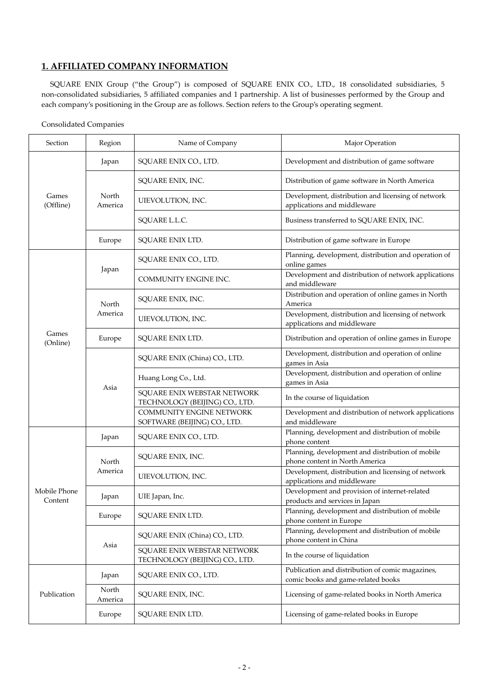## **1. AFFILIATED COMPANY INFORMATION**

SQUARE ENIX Group ("the Group") is composed of SQUARE ENIX CO., LTD., 18 consolidated subsidiaries, 5 non-consolidated subsidiaries, 5 affiliated companies and 1 partnership. A list of businesses performed by the Group and each company's positioning in the Group are as follows. Section refers to the Group's operating segment.

## Consolidated Companies

| Section                 | Region           | Name of Company                                               | Major Operation                                                                        |  |  |
|-------------------------|------------------|---------------------------------------------------------------|----------------------------------------------------------------------------------------|--|--|
|                         | Japan            | SQUARE ENIX CO., LTD.                                         | Development and distribution of game software                                          |  |  |
|                         |                  | SQUARE ENIX, INC.                                             | Distribution of game software in North America                                         |  |  |
| Games<br>(Offline)      | North<br>America | UIEVOLUTION, INC.                                             | Development, distribution and licensing of network<br>applications and middleware      |  |  |
|                         |                  | SQUARE L.L.C.                                                 | Business transferred to SQUARE ENIX, INC.                                              |  |  |
|                         | Europe           | SQUARE ENIX LTD.                                              | Distribution of game software in Europe                                                |  |  |
|                         |                  | SQUARE ENIX CO., LTD.                                         | Planning, development, distribution and operation of<br>online games                   |  |  |
|                         | Japan            | COMMUNITY ENGINE INC.                                         | Development and distribution of network applications<br>and middleware                 |  |  |
|                         | North            | SQUARE ENIX, INC.                                             | Distribution and operation of online games in North<br>America                         |  |  |
|                         | America          | UIEVOLUTION, INC.                                             | Development, distribution and licensing of network<br>applications and middleware      |  |  |
| Games<br>(Online)       | Europe           | SQUARE ENIX LTD.                                              | Distribution and operation of online games in Europe                                   |  |  |
|                         | Asia             | SQUARE ENIX (China) CO., LTD.                                 | Development, distribution and operation of online<br>games in Asia                     |  |  |
|                         |                  | Huang Long Co., Ltd.                                          | Development, distribution and operation of online<br>games in Asia                     |  |  |
|                         |                  | SQUARE ENIX WEBSTAR NETWORK<br>TECHNOLOGY (BEIJING) CO., LTD. | In the course of liquidation                                                           |  |  |
|                         |                  | COMMUNITY ENGINE NETWORK<br>SOFTWARE (BEIJING) CO., LTD.      | Development and distribution of network applications<br>and middleware                 |  |  |
|                         | Japan            | SQUARE ENIX CO., LTD.                                         | Planning, development and distribution of mobile<br>phone content                      |  |  |
|                         | North            | SQUARE ENIX, INC.                                             | Planning, development and distribution of mobile<br>phone content in North America     |  |  |
|                         | America          | UIEVOLUTION, INC.                                             | Development, distribution and licensing of network<br>applications and middleware      |  |  |
| Mobile Phone<br>Content | Japan            | UIE Japan, Inc.                                               | Development and provision of internet-related<br>products and services in Japan        |  |  |
|                         | Europe           | SQUARE ENIX LTD.                                              | Planning, development and distribution of mobile<br>phone content in Europe            |  |  |
|                         |                  | SQUARE ENIX (China) CO., LTD.                                 | Planning, development and distribution of mobile<br>phone content in China             |  |  |
|                         | Asia             | SQUARE ENIX WEBSTAR NETWORK<br>TECHNOLOGY (BEIJING) CO., LTD. | In the course of liquidation                                                           |  |  |
|                         | Japan            | SQUARE ENIX CO., LTD.                                         | Publication and distribution of comic magazines,<br>comic books and game-related books |  |  |
| Publication             | North<br>America | SQUARE ENIX, INC.                                             | Licensing of game-related books in North America                                       |  |  |
|                         | Europe           | SQUARE ENIX LTD.                                              | Licensing of game-related books in Europe                                              |  |  |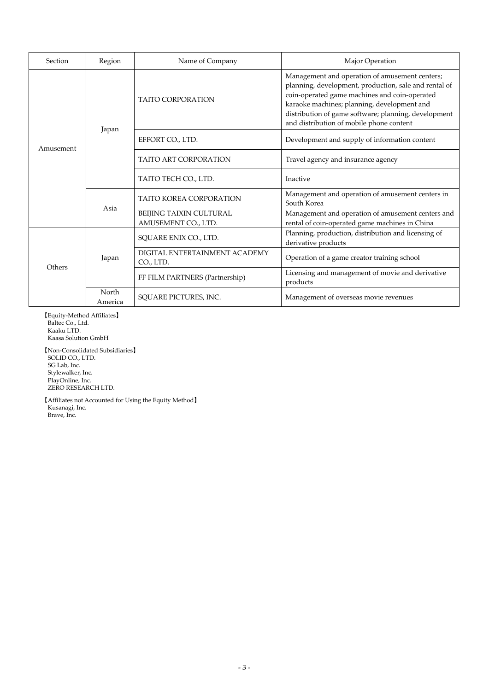| Section   | Region           | Name of Company                                | Major Operation                                                                                                                                                                                                                                                                                             |  |  |
|-----------|------------------|------------------------------------------------|-------------------------------------------------------------------------------------------------------------------------------------------------------------------------------------------------------------------------------------------------------------------------------------------------------------|--|--|
|           | Japan            | <b>TAITO CORPORATION</b>                       | Management and operation of amusement centers;<br>planning, development, production, sale and rental of<br>coin-operated game machines and coin-operated<br>karaoke machines; planning, development and<br>distribution of game software; planning, development<br>and distribution of mobile phone content |  |  |
| Amusement |                  | EFFORT CO., LTD.                               | Development and supply of information content                                                                                                                                                                                                                                                               |  |  |
| Asia      |                  | <b>TAITO ART CORPORATION</b>                   | Travel agency and insurance agency                                                                                                                                                                                                                                                                          |  |  |
|           |                  | TAITO TECH CO., LTD.                           | Inactive                                                                                                                                                                                                                                                                                                    |  |  |
|           |                  | <b>TAITO KOREA CORPORATION</b>                 | Management and operation of amusement centers in<br>South Korea                                                                                                                                                                                                                                             |  |  |
|           |                  | BEIJING TAIXIN CULTURAL<br>AMUSEMENT CO., LTD. | Management and operation of amusement centers and<br>rental of coin-operated game machines in China                                                                                                                                                                                                         |  |  |
|           |                  | SQUARE ENIX CO., LTD.                          | Planning, production, distribution and licensing of<br>derivative products                                                                                                                                                                                                                                  |  |  |
|           | Japan            | DIGITAL ENTERTAINMENT ACADEMY<br>CO., LTD.     | Operation of a game creator training school                                                                                                                                                                                                                                                                 |  |  |
| Others    |                  | FF FILM PARTNERS (Partnership)                 | Licensing and management of movie and derivative<br>products                                                                                                                                                                                                                                                |  |  |
|           | North<br>America | SOUARE PICTURES, INC.                          | Management of overseas movie revenues                                                                                                                                                                                                                                                                       |  |  |

【Equity-Method Affiliates】 Baltec Co., Ltd. Kaaku LTD. Kaasa Solution GmbH 【Non-Consolidated Subsidiaries】 SOLID CO., LTD. SG Lab, Inc. Stylewalker, Inc. PlayOnline, Inc. ZERO RESEARCH LTD.

【Affiliates not Accounted for Using the Equity Method】 Kusanagi, Inc. Brave, Inc.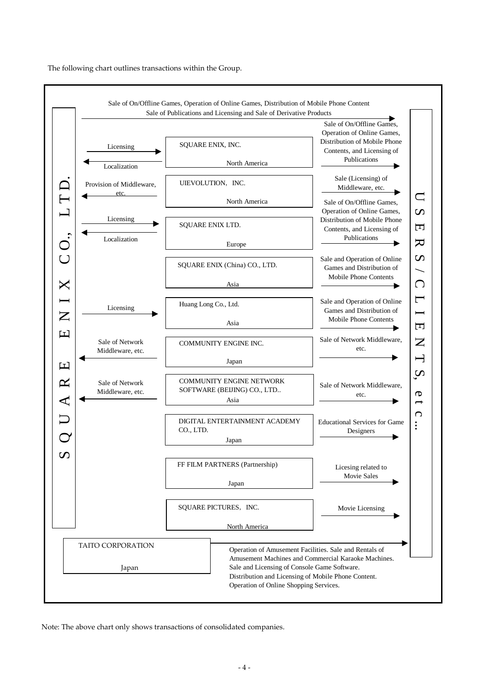The following chart outlines transactions within the Group.



Note: The above chart only shows transactions of consolidated companies.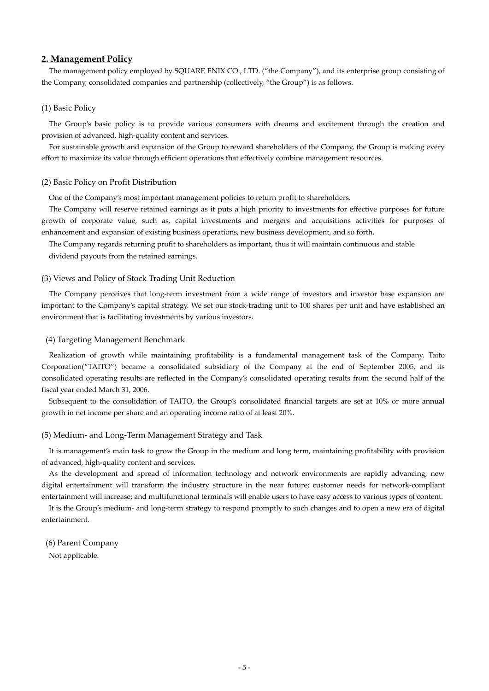## **2. Management Policy**

The management policy employed by SQUARE ENIX CO., LTD. ("the Company"), and its enterprise group consisting of the Company, consolidated companies and partnership (collectively, "the Group") is as follows.

#### (1) Basic Policy

The Group's basic policy is to provide various consumers with dreams and excitement through the creation and provision of advanced, high-quality content and services.

For sustainable growth and expansion of the Group to reward shareholders of the Company, the Group is making every effort to maximize its value through efficient operations that effectively combine management resources.

#### (2) Basic Policy on Profit Distribution

One of the Company's most important management policies to return profit to shareholders.

The Company will reserve retained earnings as it puts a high priority to investments for effective purposes for future growth of corporate value, such as, capital investments and mergers and acquisitions activities for purposes of enhancement and expansion of existing business operations, new business development, and so forth.

The Company regards returning profit to shareholders as important, thus it will maintain continuous and stable

dividend payouts from the retained earnings.

#### (3) Views and Policy of Stock Trading Unit Reduction

The Company perceives that long-term investment from a wide range of investors and investor base expansion are important to the Company's capital strategy. We set our stock-trading unit to 100 shares per unit and have established an environment that is facilitating investments by various investors.

#### (4) Targeting Management Benchmark

Realization of growth while maintaining profitability is a fundamental management task of the Company. Taito Corporation("TAITO") became a consolidated subsidiary of the Company at the end of September 2005, and its consolidated operating results are reflected in the Company's consolidated operating results from the second half of the fiscal year ended March 31, 2006.

Subsequent to the consolidation of TAITO, the Group's consolidated financial targets are set at 10% or more annual growth in net income per share and an operating income ratio of at least 20%.

## (5) Medium- and Long-Term Management Strategy and Task

It is management's main task to grow the Group in the medium and long term, maintaining profitability with provision of advanced, high-quality content and services.

As the development and spread of information technology and network environments are rapidly advancing, new digital entertainment will transform the industry structure in the near future; customer needs for network-compliant entertainment will increase; and multifunctional terminals will enable users to have easy access to various types of content.

It is the Group's medium- and long-term strategy to respond promptly to such changes and to open a new era of digital entertainment.

 (6) Parent Company Not applicable.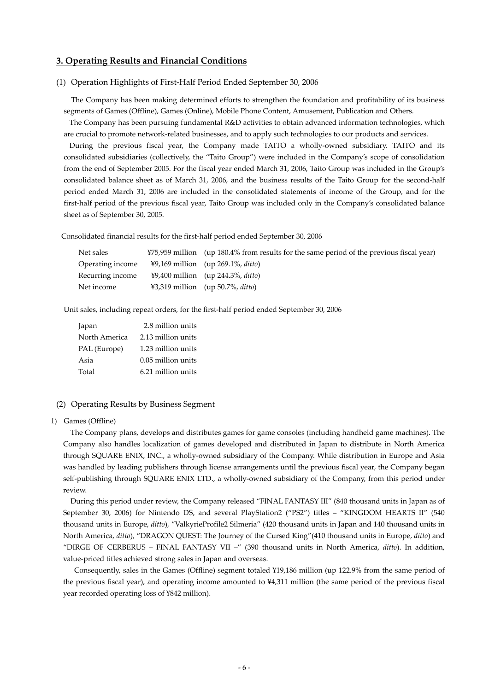## **3. Operating Results and Financial Conditions**

#### (1) Operation Highlights of First-Half Period Ended September 30, 2006

The Company has been making determined efforts to strengthen the foundation and profitability of its business segments of Games (Offline), Games (Online), Mobile Phone Content, Amusement, Publication and Others.

The Company has been pursuing fundamental R&D activities to obtain advanced information technologies, which are crucial to promote network-related businesses, and to apply such technologies to our products and services.

During the previous fiscal year, the Company made TAITO a wholly-owned subsidiary. TAITO and its consolidated subsidiaries (collectively, the "Taito Group") were included in the Company's scope of consolidation from the end of September 2005. For the fiscal year ended March 31, 2006, Taito Group was included in the Group's consolidated balance sheet as of March 31, 2006, and the business results of the Taito Group for the second-half period ended March 31, 2006 are included in the consolidated statements of income of the Group, and for the first-half period of the previous fiscal year, Taito Group was included only in the Company's consolidated balance sheet as of September 30, 2005.

Consolidated financial results for the first-half period ended September 30, 2006

| Net sales        | ¥75,959 million (up 180.4% from results for the same period of the previous fiscal year) |
|------------------|------------------------------------------------------------------------------------------|
| Operating income | $\frac{1}{2}9,169$ million (up 269.1%, ditto)                                            |
| Recurring income | $\frac{1}{2}9,400$ million (up 244.3%, ditto)                                            |
| Net income       | ¥3,319 million (up 50.7%, <i>ditto</i> )                                                 |

Unit sales, including repeat orders, for the first-half period ended September 30, 2006

| Japan         | 2.8 million units  |
|---------------|--------------------|
| North America | 2.13 million units |
| PAL (Europe)  | 1.23 million units |
| Asia          | 0.05 million units |
| Total         | 6.21 million units |

#### (2) Operating Results by Business Segment

1) Games (Offline)

The Company plans, develops and distributes games for game consoles (including handheld game machines). The Company also handles localization of games developed and distributed in Japan to distribute in North America through SQUARE ENIX, INC., a wholly-owned subsidiary of the Company. While distribution in Europe and Asia was handled by leading publishers through license arrangements until the previous fiscal year, the Company began self-publishing through SQUARE ENIX LTD., a wholly-owned subsidiary of the Company, from this period under review.

During this period under review, the Company released "FINAL FANTASY III" (840 thousand units in Japan as of September 30, 2006) for Nintendo DS, and several PlayStation2 ("PS2") titles – "KINGDOM HEARTS II" (540 thousand units in Europe, *ditto*), "ValkyrieProfile2 Silmeria" (420 thousand units in Japan and 140 thousand units in North America, *ditto*), "DRAGON QUEST: The Journey of the Cursed King"(410 thousand units in Europe, *ditto*) and "DIRGE OF CERBERUS – FINAL FANTASY VII –" (390 thousand units in North America, *ditto*). In addition, value-priced titles achieved strong sales in Japan and overseas.

 Consequently, sales in the Games (Offline) segment totaled ¥19,186 million (up 122.9% from the same period of the previous fiscal year), and operating income amounted to ¥4,311 million (the same period of the previous fiscal year recorded operating loss of ¥842 million).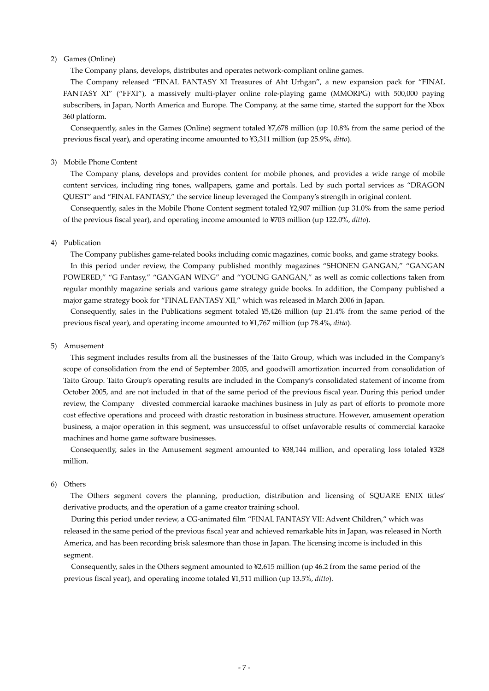## 2) Games (Online)

The Company plans, develops, distributes and operates network-compliant online games.

The Company released "FINAL FANTASY XI Treasures of Aht Urhgan", a new expansion pack for "FINAL FANTASY XI" ("FFXI"), a massively multi-player online role-playing game (MMORPG) with 500,000 paying subscribers, in Japan, North America and Europe. The Company, at the same time, started the support for the Xbox 360 platform.

Consequently, sales in the Games (Online) segment totaled ¥7,678 million (up 10.8% from the same period of the previous fiscal year), and operating income amounted to ¥3,311 million (up 25.9%, *ditto*).

#### 3) Mobile Phone Content

The Company plans, develops and provides content for mobile phones, and provides a wide range of mobile content services, including ring tones, wallpapers, game and portals. Led by such portal services as "DRAGON QUEST" and "FINAL FANTASY," the service lineup leveraged the Company's strength in original content.

Consequently, sales in the Mobile Phone Content segment totaled ¥2,907 million (up 31.0% from the same period of the previous fiscal year), and operating income amounted to ¥703 million (up 122.0%, *ditto*).

#### 4) Publication

The Company publishes game-related books including comic magazines, comic books, and game strategy books. In this period under review, the Company published monthly magazines "SHONEN GANGAN," "GANGAN POWERED," "G Fantasy," "GANGAN WING" and "YOUNG GANGAN," as well as comic collections taken from regular monthly magazine serials and various game strategy guide books. In addition, the Company published a major game strategy book for "FINAL FANTASY XII," which was released in March 2006 in Japan.

Consequently, sales in the Publications segment totaled ¥5,426 million (up 21.4% from the same period of the previous fiscal year), and operating income amounted to ¥1,767 million (up 78.4%, *ditto*).

#### 5) Amusement

This segment includes results from all the businesses of the Taito Group, which was included in the Company's scope of consolidation from the end of September 2005, and goodwill amortization incurred from consolidation of Taito Group. Taito Group's operating results are included in the Company's consolidated statement of income from October 2005, and are not included in that of the same period of the previous fiscal year. During this period under review, the Company divested commercial karaoke machines business in July as part of efforts to promote more cost effective operations and proceed with drastic restoration in business structure. However, amusement operation business, a major operation in this segment, was unsuccessful to offset unfavorable results of commercial karaoke machines and home game software businesses.

Consequently, sales in the Amusement segment amounted to ¥38,144 million, and operating loss totaled ¥328 million.

#### 6) Others

The Others segment covers the planning, production, distribution and licensing of SQUARE ENIX titles' derivative products, and the operation of a game creator training school.

During this period under review, a CG-animated film "FINAL FANTASY VII: Advent Children," which was released in the same period of the previous fiscal year and achieved remarkable hits in Japan, was released in North America, and has been recording brisk salesmore than those in Japan. The licensing income is included in this segment.

Consequently, sales in the Others segment amounted to ¥2,615 million (up 46.2 from the same period of the previous fiscal year), and operating income totaled ¥1,511 million (up 13.5%, *ditto*).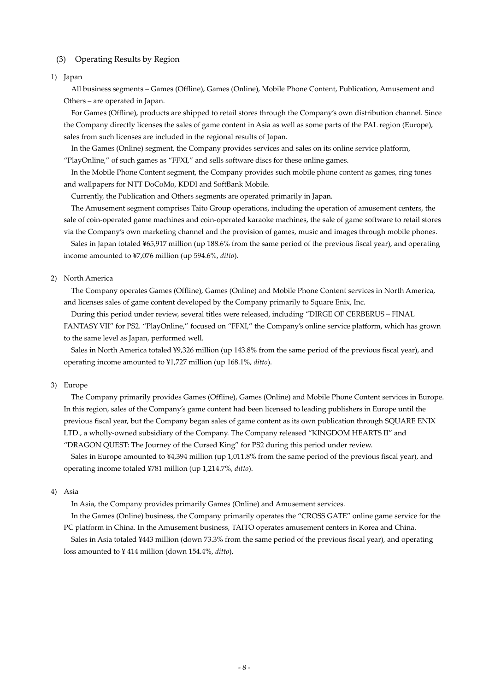## (3) Operating Results by Region

## 1) Japan

All business segments – Games (Offline), Games (Online), Mobile Phone Content, Publication, Amusement and Others – are operated in Japan.

For Games (Offline), products are shipped to retail stores through the Company's own distribution channel. Since the Company directly licenses the sales of game content in Asia as well as some parts of the PAL region (Europe), sales from such licenses are included in the regional results of Japan.

In the Games (Online) segment, the Company provides services and sales on its online service platform, "PlayOnline," of such games as "FFXI," and sells software discs for these online games.

In the Mobile Phone Content segment, the Company provides such mobile phone content as games, ring tones and wallpapers for NTT DoCoMo, KDDI and SoftBank Mobile.

Currently, the Publication and Others segments are operated primarily in Japan.

The Amusement segment comprises Taito Group operations, including the operation of amusement centers, the sale of coin-operated game machines and coin-operated karaoke machines, the sale of game software to retail stores via the Company's own marketing channel and the provision of games, music and images through mobile phones.

Sales in Japan totaled ¥65,917 million (up 188.6% from the same period of the previous fiscal year), and operating income amounted to ¥7,076 million (up 594.6%, *ditto*).

#### 2) North America

The Company operates Games (Offline), Games (Online) and Mobile Phone Content services in North America, and licenses sales of game content developed by the Company primarily to Square Enix, Inc.

During this period under review, several titles were released, including "DIRGE OF CERBERUS – FINAL

FANTASY VII" for PS2. "PlayOnline," focused on "FFXI," the Company's online service platform, which has grown to the same level as Japan, performed well.

Sales in North America totaled ¥9,326 million (up 143.8% from the same period of the previous fiscal year), and operating income amounted to ¥1,727 million (up 168.1%, *ditto*).

#### 3) Europe

The Company primarily provides Games (Offline), Games (Online) and Mobile Phone Content services in Europe. In this region, sales of the Company's game content had been licensed to leading publishers in Europe until the previous fiscal year, but the Company began sales of game content as its own publication through SQUARE ENIX LTD., a wholly-owned subsidiary of the Company. The Company released "KINGDOM HEARTS II" and "DRAGON QUEST: The Journey of the Cursed King" for PS2 during this period under review.

Sales in Europe amounted to ¥4,394 million (up 1,011.8% from the same period of the previous fiscal year), and operating income totaled ¥781 million (up 1,214.7%, *ditto*).

#### 4) Asia

In Asia, the Company provides primarily Games (Online) and Amusement services.

In the Games (Online) business, the Company primarily operates the "CROSS GATE" online game service for the PC platform in China. In the Amusement business, TAITO operates amusement centers in Korea and China.

Sales in Asia totaled ¥443 million (down 73.3% from the same period of the previous fiscal year), and operating loss amounted to ¥ 414 million (down 154.4%, *ditto*).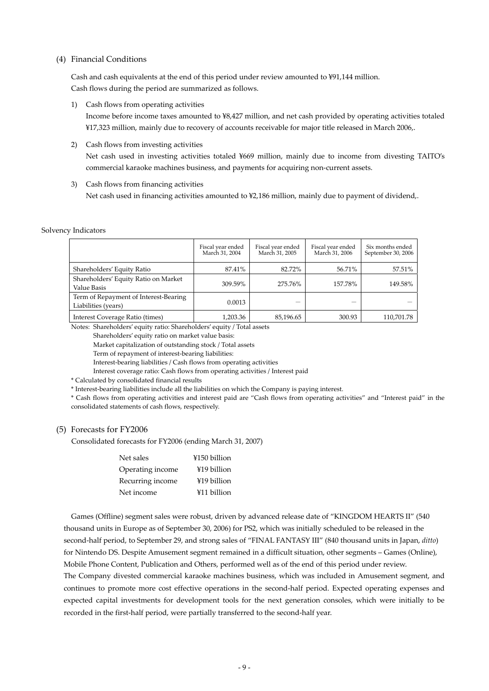#### (4) Financial Conditions

Cash and cash equivalents at the end of this period under review amounted to ¥91,144 million. Cash flows during the period are summarized as follows.

1) Cash flows from operating activities

Income before income taxes amounted to ¥8,427 million, and net cash provided by operating activities totaled ¥17,323 million, mainly due to recovery of accounts receivable for major title released in March 2006,.

2) Cash flows from investing activities

Net cash used in investing activities totaled ¥669 million, mainly due to income from divesting TAITO's commercial karaoke machines business, and payments for acquiring non-current assets.

3) Cash flows from financing activities Net cash used in financing activities amounted to ¥2,186 million, mainly due to payment of dividend,.

#### Solvency Indicators

|                                                              | Fiscal year ended<br>March 31, 2004 | Fiscal year ended<br>March 31, 2005 | Fiscal year ended<br>March 31, 2006 | Six months ended<br>September 30, 2006 |
|--------------------------------------------------------------|-------------------------------------|-------------------------------------|-------------------------------------|----------------------------------------|
| Shareholders' Equity Ratio                                   | 87.41%                              | 82.72%                              | 56.71%                              | 57.51%                                 |
| Shareholders' Equity Ratio on Market<br>Value Basis          | 309.59%                             | 275.76%                             | 157.78%                             | 149.58%                                |
| Term of Repayment of Interest-Bearing<br>Liabilities (years) | 0.0013                              |                                     |                                     |                                        |
| Interest Coverage Ratio (times)                              | 1,203.36                            | 85,196.65                           | 300.93                              | 110,701.78                             |

Notes: Shareholders' equity ratio: Shareholders' equity / Total assets

Shareholders' equity ratio on market value basis:

Market capitalization of outstanding stock / Total assets

Term of repayment of interest-bearing liabilities:

Interest-bearing liabilities / Cash flows from operating activities

Interest coverage ratio: Cash flows from operating activities / Interest paid

\* Calculated by consolidated financial results

\* Interest-bearing liabilities include all the liabilities on which the Company is paying interest.

\* Cash flows from operating activities and interest paid are "Cash flows from operating activities" and "Interest paid" in the consolidated statements of cash flows, respectively.

#### (5) Forecasts for FY2006

Consolidated forecasts for FY2006 (ending March 31, 2007)

| Net sales        | ¥150 billion |
|------------------|--------------|
| Operating income | ¥19 billion  |
| Recurring income | ¥19 billion  |
| Net income       | ¥11 billion  |

Games (Offline) segment sales were robust, driven by advanced release date of "KINGDOM HEARTS II" (540 thousand units in Europe as of September 30, 2006) for PS2, which was initially scheduled to be released in the second-half period, to September 29, and strong sales of "FINAL FANTASY III" (840 thousand units in Japan, *ditto*) for Nintendo DS. Despite Amusement segment remained in a difficult situation, other segments – Games (Online), Mobile Phone Content, Publication and Others, performed well as of the end of this period under review. The Company divested commercial karaoke machines business, which was included in Amusement segment, and continues to promote more cost effective operations in the second-half period. Expected operating expenses and expected capital investments for development tools for the next generation consoles, which were initially to be recorded in the first-half period, were partially transferred to the second-half year.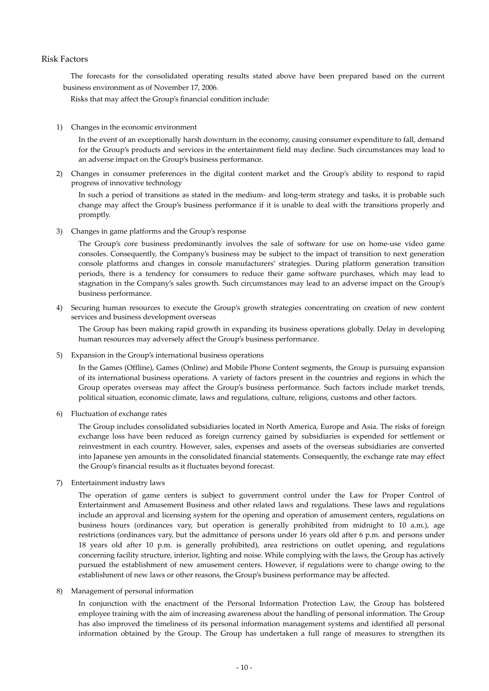## Risk Factors

The forecasts for the consolidated operating results stated above have been prepared based on the current business environment as of November 17, 2006.

Risks that may affect the Group's financial condition include:

1) Changes in the economic environment

In the event of an exceptionally harsh downturn in the economy, causing consumer expenditure to fall, demand for the Group's products and services in the entertainment field may decline. Such circumstances may lead to an adverse impact on the Group's business performance.

2) Changes in consumer preferences in the digital content market and the Group's ability to respond to rapid progress of innovative technology

In such a period of transitions as stated in the medium- and long-term strategy and tasks, it is probable such change may affect the Group's business performance if it is unable to deal with the transitions properly and promptly.

3) Changes in game platforms and the Group's response

The Group's core business predominantly involves the sale of software for use on home-use video game consoles. Consequently, the Company's business may be subject to the impact of transition to next generation console platforms and changes in console manufacturers' strategies. During platform generation transition periods, there is a tendency for consumers to reduce their game software purchases, which may lead to stagnation in the Company's sales growth. Such circumstances may lead to an adverse impact on the Group's business performance.

4) Securing human resources to execute the Group's growth strategies concentrating on creation of new content services and business development overseas

The Group has been making rapid growth in expanding its business operations globally. Delay in developing human resources may adversely affect the Group's business performance.

5) Expansion in the Group's international business operations

In the Games (Offline), Games (Online) and Mobile Phone Content segments, the Group is pursuing expansion of its international business operations. A variety of factors present in the countries and regions in which the Group operates overseas may affect the Group's business performance. Such factors include market trends, political situation, economic climate, laws and regulations, culture, religions, customs and other factors.

6) Fluctuation of exchange rates

The Group includes consolidated subsidiaries located in North America, Europe and Asia. The risks of foreign exchange loss have been reduced as foreign currency gained by subsidiaries is expended for settlement or reinvestment in each country. However, sales, expenses and assets of the overseas subsidiaries are converted into Japanese yen amounts in the consolidated financial statements. Consequently, the exchange rate may effect the Group's financial results as it fluctuates beyond forecast.

7) Entertainment industry laws

The operation of game centers is subject to government control under the Law for Proper Control of Entertainment and Amusement Business and other related laws and regulations. These laws and regulations include an approval and licensing system for the opening and operation of amusement centers, regulations on business hours (ordinances vary, but operation is generally prohibited from midnight to 10 a.m.), age restrictions (ordinances vary, but the admittance of persons under 16 years old after 6 p.m. and persons under 18 years old after 10 p.m. is generally prohibited), area restrictions on outlet opening, and regulations concerning facility structure, interior, lighting and noise. While complying with the laws, the Group has actively pursued the establishment of new amusement centers. However, if regulations were to change owing to the establishment of new laws or other reasons, the Group's business performance may be affected.

8) Management of personal information

In conjunction with the enactment of the Personal Information Protection Law, the Group has bolstered employee training with the aim of increasing awareness about the handling of personal information. The Group has also improved the timeliness of its personal information management systems and identified all personal information obtained by the Group. The Group has undertaken a full range of measures to strengthen its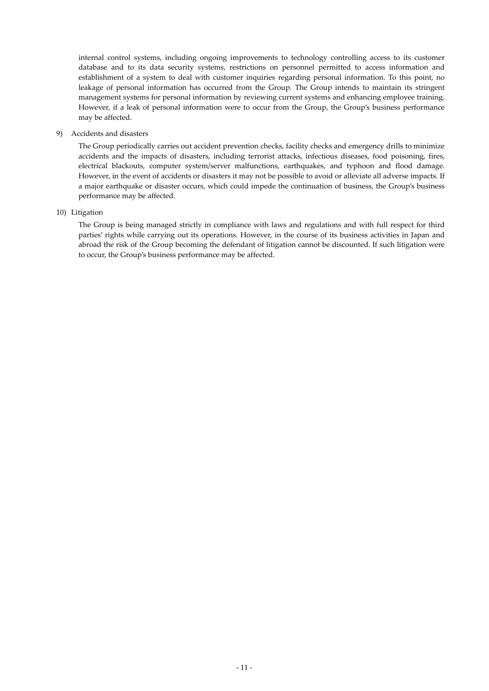internal control systems, including ongoing improvements to technology controlling access to its customer database and to its data security systems, restrictions on personnel permitted to access information and establishment of a system to deal with customer inquiries regarding personal information. To this point, no leakage of personal information has occurred from the Group. The Group intends to maintain its stringent management systems for personal information by reviewing current systems and enhancing employee training. However, if a leak of personal information were to occur from the Group, the Group's business performance may be affected.

#### 9) Accidents and disasters

The Group periodically carries out accident prevention checks, facility checks and emergency drills to minimize accidents and the impacts of disasters, including terrorist attacks, infectious diseases, food poisoning, fires, electrical blackouts, computer system/server malfunctions, earthquakes, and typhoon and flood damage. However, in the event of accidents or disasters it may not be possible to avoid or alleviate all adverse impacts. If a major earthquake or disaster occurs, which could impede the continuation of business, the Group's business performance may be affected.

### 10) Litigation

The Group is being managed strictly in compliance with laws and regulations and with full respect for third parties' rights while carrying out its operations. However, in the course of its business activities in Japan and abroad the risk of the Group becoming the defendant of litigation cannot be discounted. If such litigation were to occur, the Group's business performance may be affected.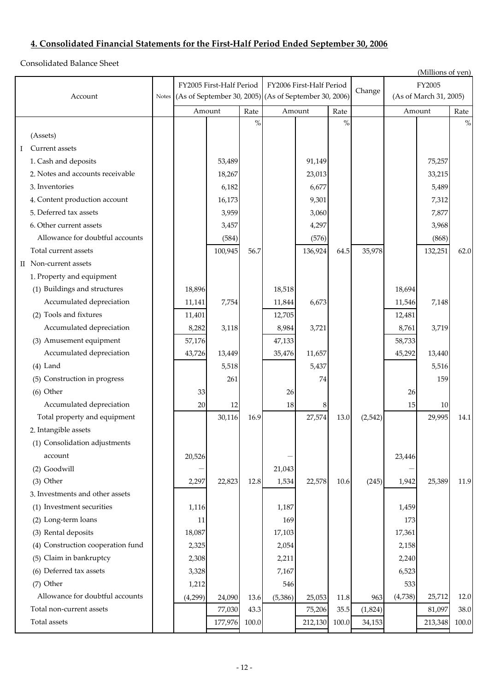# **4. Consolidated Financial Statements for the First-Half Period Ended September 30, 2006**

Consolidated Balance Sheet

|                                      | (Millions of yen)        |         |       |                                                       |         |               |                        |         |         |       |  |
|--------------------------------------|--------------------------|---------|-------|-------------------------------------------------------|---------|---------------|------------------------|---------|---------|-------|--|
|                                      | FY2005 First-Half Period |         |       | FY2006 First-Half Period                              |         |               |                        | FY2005  |         |       |  |
| Account<br>Notes                     |                          |         |       | (As of September 30, 2005) (As of September 30, 2006) |         | Change        | (As of March 31, 2005) |         |         |       |  |
|                                      |                          | Amount  | Rate  | Amount                                                |         | Rate          |                        | Amount  |         | Rate  |  |
|                                      |                          |         | $\%$  |                                                       |         | $\frac{0}{0}$ |                        |         |         | $\%$  |  |
| (Assets)                             |                          |         |       |                                                       |         |               |                        |         |         |       |  |
| Current assets<br>Ι.                 |                          |         |       |                                                       |         |               |                        |         |         |       |  |
| 1. Cash and deposits                 |                          | 53,489  |       |                                                       | 91,149  |               |                        |         | 75,257  |       |  |
| 2. Notes and accounts receivable     |                          | 18,267  |       |                                                       | 23,013  |               |                        |         | 33,215  |       |  |
| 3. Inventories                       |                          | 6,182   |       |                                                       | 6,677   |               |                        |         | 5,489   |       |  |
| 4. Content production account        |                          | 16,173  |       |                                                       | 9,301   |               |                        |         | 7,312   |       |  |
| 5. Deferred tax assets               |                          | 3,959   |       |                                                       | 3,060   |               |                        |         | 7,877   |       |  |
| 6. Other current assets              |                          | 3,457   |       |                                                       | 4,297   |               |                        |         | 3,968   |       |  |
| Allowance for doubtful accounts      |                          | (584)   |       |                                                       | (576)   |               |                        |         | (868)   |       |  |
| Total current assets                 |                          | 100,945 | 56.7  |                                                       | 136,924 | 64.5          | 35,978                 |         | 132,251 | 62.0  |  |
| II Non-current assets                |                          |         |       |                                                       |         |               |                        |         |         |       |  |
| 1. Property and equipment            |                          |         |       |                                                       |         |               |                        |         |         |       |  |
| (1) Buildings and structures         | 18,896                   |         |       | 18,518                                                |         |               |                        | 18,694  |         |       |  |
| Accumulated depreciation             | 11,141                   | 7,754   |       | 11,844                                                | 6,673   |               |                        | 11,546  | 7,148   |       |  |
| (2) Tools and fixtures               | 11,401                   |         |       | 12,705                                                |         |               |                        | 12,481  |         |       |  |
| Accumulated depreciation             | 8,282                    | 3,118   |       | 8,984                                                 | 3,721   |               |                        | 8,761   | 3,719   |       |  |
| (3) Amusement equipment              | 57,176                   |         |       | 47,133                                                |         |               |                        | 58,733  |         |       |  |
| Accumulated depreciation             | 43,726                   | 13,449  |       | 35,476                                                | 11,657  |               |                        | 45,292  | 13,440  |       |  |
| $(4)$ Land                           |                          | 5,518   |       |                                                       | 5,437   |               |                        |         | 5,516   |       |  |
| (5) Construction in progress         |                          | 261     |       |                                                       | 74      |               |                        |         | 159     |       |  |
| $(6)$ Other                          | 33                       |         |       | 26                                                    |         |               |                        | 26      |         |       |  |
| Accumulated depreciation             | 20                       | 12      |       | 18                                                    | 8       |               |                        | 15      | 10      |       |  |
| Total property and equipment         |                          | 30,116  | 16.9  |                                                       | 27,574  | 13.0          | (2, 542)               |         | 29,995  | 14.1  |  |
| 2. Intangible assets                 |                          |         |       |                                                       |         |               |                        |         |         |       |  |
| (1) Consolidation adjustments        |                          |         |       |                                                       |         |               |                        |         |         |       |  |
| account                              | 20,526                   |         |       |                                                       |         |               |                        | 23,446  |         |       |  |
| (2) Goodwill                         |                          |         |       | 21,043                                                |         |               |                        |         |         |       |  |
| (3) Other                            | 2,297                    | 22,823  | 12.8  | 1,534                                                 | 22,578  | 10.6          | (245)                  | 1,942   | 25,389  | 11.9  |  |
| 3. Investments and other assets      |                          |         |       |                                                       |         |               |                        |         |         |       |  |
| (1) Investment securities            | 1,116                    |         |       | 1,187                                                 |         |               |                        | 1,459   |         |       |  |
| (2) Long-term loans                  | 11                       |         |       | 169                                                   |         |               |                        | 173     |         |       |  |
| (3) Rental deposits                  | 18,087                   |         |       | 17,103                                                |         |               |                        | 17,361  |         |       |  |
| Construction cooperation fund<br>(4) | 2,325                    |         |       | 2,054                                                 |         |               |                        | 2,158   |         |       |  |
| Claim in bankruptcy<br>(5)           | 2,308                    |         |       | 2,211                                                 |         |               |                        | 2,240   |         |       |  |
| (6) Deferred tax assets              | 3,328                    |         |       | 7,167                                                 |         |               |                        | 6,523   |         |       |  |
| (7) Other                            | 1,212                    |         |       | 546                                                   |         |               |                        | 533     |         |       |  |
| Allowance for doubtful accounts      | (4,299)                  | 24,090  | 13.6  | (5, 386)                                              | 25,053  | 11.8          | 963                    | (4,738) | 25,712  | 12.0  |  |
| Total non-current assets             |                          | 77,030  | 43.3  |                                                       | 75,206  | 35.5          | (1,824)                |         | 81,097  | 38.0  |  |
| Total assets                         |                          | 177,976 | 100.0 |                                                       | 212,130 | 100.0         | 34,153                 |         | 213,348 | 100.0 |  |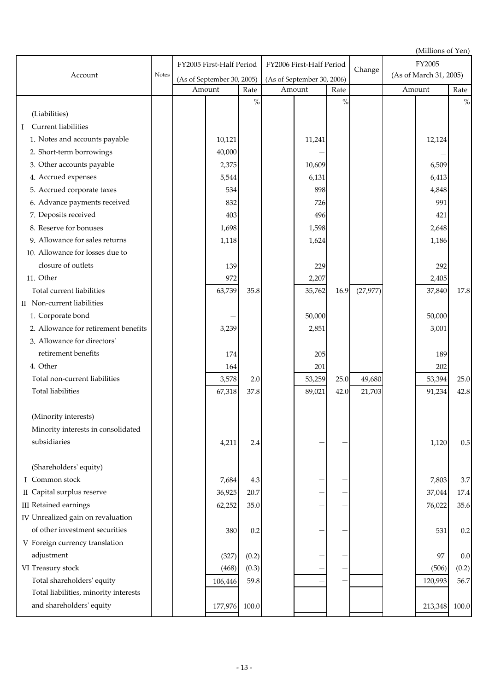|                                       |       |                            |       |                            |                          |      |           |        | (Millions of Yen)      |         |
|---------------------------------------|-------|----------------------------|-------|----------------------------|--------------------------|------|-----------|--------|------------------------|---------|
|                                       |       | FY2005 First-Half Period   |       |                            | FY2006 First-Half Period |      |           | FY2005 |                        |         |
| Account                               | Notes | (As of September 30, 2005) |       | (As of September 30, 2006) |                          |      | Change    |        | (As of March 31, 2005) |         |
|                                       |       | Amount                     | Rate  |                            | Amount<br>Rate           |      |           |        | Amount                 | Rate    |
|                                       |       |                            | $\%$  |                            |                          | $\%$ |           |        |                        | $\%$    |
| (Liabilities)                         |       |                            |       |                            |                          |      |           |        |                        |         |
| Current liabilities<br>Ι              |       |                            |       |                            |                          |      |           |        |                        |         |
| 1. Notes and accounts payable         |       | 10,121                     |       |                            | 11,241                   |      |           |        | 12,124                 |         |
| 2. Short-term borrowings              |       | 40,000                     |       |                            |                          |      |           |        |                        |         |
| 3. Other accounts payable             |       | 2,375                      |       |                            | 10,609                   |      |           |        | 6,509                  |         |
| 4. Accrued expenses                   |       | 5,544                      |       |                            | 6,131                    |      |           |        | 6,413                  |         |
| 5. Accrued corporate taxes            |       | 534                        |       |                            | 898                      |      |           |        | 4,848                  |         |
| 6. Advance payments received          |       | 832                        |       |                            | 726                      |      |           |        | 991                    |         |
| 7. Deposits received                  |       | 403                        |       |                            | 496                      |      |           |        | 421                    |         |
| 8. Reserve for bonuses                |       | 1,698                      |       |                            | 1,598                    |      |           |        | 2,648                  |         |
| 9. Allowance for sales returns        |       | 1,118                      |       |                            | 1,624                    |      |           |        | 1,186                  |         |
| 10. Allowance for losses due to       |       |                            |       |                            |                          |      |           |        |                        |         |
| closure of outlets                    |       | 139                        |       |                            | 229                      |      |           |        | 292                    |         |
| 11. Other                             |       | 972                        |       |                            | 2,207                    |      |           |        | 2,405                  |         |
| Total current liabilities             |       | 63,739                     | 35.8  |                            | 35,762                   | 16.9 | (27, 977) |        | 37,840                 | 17.8    |
| II Non-current liabilities            |       |                            |       |                            |                          |      |           |        |                        |         |
| 1. Corporate bond                     |       |                            |       |                            | 50,000                   |      |           |        | 50,000                 |         |
| 2. Allowance for retirement benefits  |       | 3,239                      |       |                            | 2,851                    |      |           |        | 3,001                  |         |
| 3. Allowance for directors'           |       |                            |       |                            |                          |      |           |        |                        |         |
| retirement benefits                   |       | 174                        |       |                            | 205                      |      |           |        | 189                    |         |
| 4. Other                              |       | 164                        |       |                            | 201                      |      |           |        | 202                    |         |
| Total non-current liabilities         |       | 3,578                      | 2.0   |                            | 53,259                   | 25.0 | 49,680    |        | 53,394                 | 25.0    |
| <b>Total liabilities</b>              |       | 67,318                     | 37.8  |                            | 89,021                   | 42.0 | 21,703    |        | 91,234                 | 42.8    |
|                                       |       |                            |       |                            |                          |      |           |        |                        |         |
| (Minority interests)                  |       |                            |       |                            |                          |      |           |        |                        |         |
| Minority interests in consolidated    |       |                            |       |                            |                          |      |           |        |                        |         |
| subsidiaries                          |       | 4,211                      | 2.4   |                            |                          |      |           |        | 1,120                  | 0.5     |
|                                       |       |                            |       |                            |                          |      |           |        |                        |         |
| (Shareholders' equity)                |       |                            |       |                            |                          |      |           |        |                        |         |
| I Common stock                        |       | 7,684                      | 4.3   |                            |                          |      |           |        | 7,803                  | 3.7     |
| II Capital surplus reserve            |       | 36,925                     | 20.7  |                            |                          |      |           |        | 37,044                 | 17.4    |
| <b>III</b> Retained earnings          |       | 62,252                     | 35.0  |                            |                          |      |           |        | 76,022                 | 35.6    |
| IV Unrealized gain on revaluation     |       |                            |       |                            |                          |      |           |        |                        |         |
| of other investment securities        |       | 380                        | 0.2   |                            |                          |      |           |        | 531                    | 0.2     |
| V Foreign currency translation        |       |                            |       |                            |                          |      |           |        |                        |         |
| adjustment                            |       | (327)                      | (0.2) |                            |                          |      |           |        | 97                     | $0.0\,$ |
| VI Treasury stock                     |       | (468)                      | (0.3) |                            |                          |      |           |        | (506)                  | (0.2)   |
| Total shareholders' equity            |       | 106,446                    | 59.8  |                            |                          |      |           |        | 120,993                | 56.7    |
| Total liabilities, minority interests |       |                            |       |                            |                          |      |           |        |                        |         |
| and shareholders' equity              |       | 177,976                    | 100.0 |                            |                          |      |           |        | 213,348                | 100.0   |
|                                       |       |                            |       |                            |                          |      |           |        |                        |         |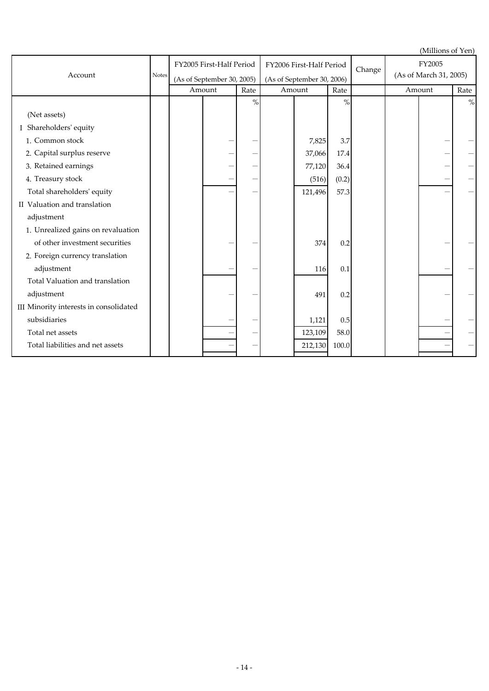|                                        |              |                            |      |                            |                          |       |        |                        | (Millions of Yen) |      |
|----------------------------------------|--------------|----------------------------|------|----------------------------|--------------------------|-------|--------|------------------------|-------------------|------|
|                                        |              | FY2005 First-Half Period   |      |                            | FY2006 First-Half Period |       | Change | FY2005                 |                   |      |
| Account                                | <b>Notes</b> | (As of September 30, 2005) |      | (As of September 30, 2006) |                          |       |        | (As of March 31, 2005) |                   |      |
|                                        |              | Amount                     | Rate |                            | Amount                   |       |        |                        | Amount            | Rate |
|                                        |              |                            | $\%$ |                            |                          | $\%$  |        |                        |                   | $\%$ |
| (Net assets)                           |              |                            |      |                            |                          |       |        |                        |                   |      |
| I Shareholders' equity                 |              |                            |      |                            |                          |       |        |                        |                   |      |
| 1. Common stock                        |              |                            |      |                            | 7,825                    | 3.7   |        |                        |                   |      |
| 2. Capital surplus reserve             |              |                            |      |                            | 37,066                   | 17.4  |        |                        |                   |      |
| 3. Retained earnings                   |              |                            |      |                            | 77,120                   | 36.4  |        |                        |                   |      |
| 4. Treasury stock                      |              |                            |      |                            | (516)                    | (0.2) |        |                        |                   |      |
| Total shareholders' equity             |              |                            |      |                            | 121,496                  | 57.3  |        |                        |                   |      |
| II Valuation and translation           |              |                            |      |                            |                          |       |        |                        |                   |      |
| adjustment                             |              |                            |      |                            |                          |       |        |                        |                   |      |
| 1. Unrealized gains on revaluation     |              |                            |      |                            |                          |       |        |                        |                   |      |
| of other investment securities         |              |                            |      |                            | 374                      | 0.2   |        |                        |                   |      |
| 2. Foreign currency translation        |              |                            |      |                            |                          |       |        |                        |                   |      |
| adjustment                             |              |                            |      |                            | 116                      | 0.1   |        |                        |                   |      |
| Total Valuation and translation        |              |                            |      |                            |                          |       |        |                        |                   |      |
| adjustment                             |              |                            |      |                            | 491                      | 0.2   |        |                        |                   |      |
| III Minority interests in consolidated |              |                            |      |                            |                          |       |        |                        |                   |      |
| subsidiaries                           |              |                            |      |                            | 1,121                    | 0.5   |        |                        |                   |      |
| Total net assets                       |              |                            |      |                            | 123,109                  | 58.0  |        |                        |                   |      |
| Total liabilities and net assets       |              |                            |      |                            | 212,130                  | 100.0 |        |                        |                   |      |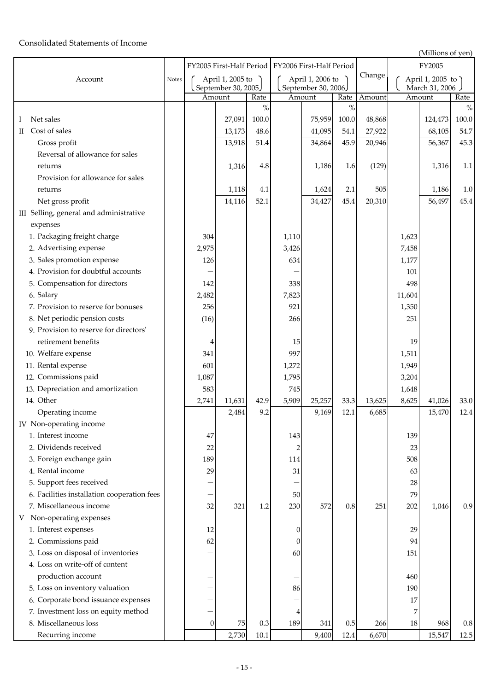## Consolidated Statements of Income

(Millions of yen)

|                                             |              |       |                     |       | FY2005 First-Half Period   FY2006 First-Half Period |                  |         |        | رانان بان سیستری<br>FY2005 |                  |         |  |
|---------------------------------------------|--------------|-------|---------------------|-------|-----------------------------------------------------|------------------|---------|--------|----------------------------|------------------|---------|--|
| Account                                     | <b>Notes</b> |       | April 1, 2005 to    |       |                                                     | April 1, 2006 to |         | Change |                            | April 1, 2005 to |         |  |
|                                             |              |       | September 30, 2005. |       | September 30, 2006.                                 |                  |         |        |                            | March 31, 2006 . |         |  |
|                                             |              |       | Amount              | Rate  |                                                     | Amount           | Rate    | Amount |                            | Amount           | Rate    |  |
|                                             |              |       |                     | $\%$  |                                                     |                  | $\%$    |        |                            |                  | $\%$    |  |
| Net sales<br>Ι.                             |              |       | 27,091              | 100.0 |                                                     | 75,959           | 100.0   | 48,868 |                            | 124,473          | 100.0   |  |
| Cost of sales<br>$\scriptstyle\rm II$       |              |       | 13,173              | 48.6  |                                                     | 41,095           | 54.1    | 27,922 |                            | 68,105           | 54.7    |  |
| Gross profit                                |              |       | 13,918              | 51.4  |                                                     | 34,864           | 45.9    | 20,946 |                            | 56,367           | 45.3    |  |
| Reversal of allowance for sales             |              |       |                     |       |                                                     |                  |         |        |                            |                  |         |  |
| returns                                     |              |       | 1,316               | 4.8   |                                                     | 1,186            | 1.6     | (129)  |                            | 1,316            | 1.1     |  |
| Provision for allowance for sales           |              |       |                     |       |                                                     |                  |         |        |                            |                  |         |  |
| returns                                     |              |       | 1,118               | 4.1   |                                                     | 1,624            | 2.1     | 505    |                            | 1,186            | $1.0\,$ |  |
| Net gross profit                            |              |       | 14,116              | 52.1  |                                                     | 34,427           | 45.4    | 20,310 |                            | 56,497           | 45.4    |  |
| III Selling, general and administrative     |              |       |                     |       |                                                     |                  |         |        |                            |                  |         |  |
| expenses                                    |              |       |                     |       |                                                     |                  |         |        |                            |                  |         |  |
| 1. Packaging freight charge                 |              | 304   |                     |       | 1,110                                               |                  |         |        | 1,623                      |                  |         |  |
| 2. Advertising expense                      |              | 2,975 |                     |       | 3,426                                               |                  |         |        | 7,458                      |                  |         |  |
| 3. Sales promotion expense                  |              | 126   |                     |       | 634                                                 |                  |         |        | 1,177                      |                  |         |  |
| 4. Provision for doubtful accounts          |              |       |                     |       |                                                     |                  |         |        | 101                        |                  |         |  |
| 5. Compensation for directors               |              | 142   |                     |       | 338                                                 |                  |         |        | 498                        |                  |         |  |
| 6. Salary                                   |              | 2,482 |                     |       | 7,823                                               |                  |         |        | 11,604                     |                  |         |  |
| 7. Provision to reserve for bonuses         |              | 256   |                     |       | 921                                                 |                  |         |        | 1,350                      |                  |         |  |
| 8. Net periodic pension costs               |              | (16)  |                     |       | 266                                                 |                  |         |        | 251                        |                  |         |  |
| 9. Provision to reserve for directors'      |              |       |                     |       |                                                     |                  |         |        |                            |                  |         |  |
| retirement benefits                         |              | 4     |                     |       | 15                                                  |                  |         |        | 19                         |                  |         |  |
| 10. Welfare expense                         |              | 341   |                     |       | 997                                                 |                  |         |        | 1,511                      |                  |         |  |
| 11. Rental expense                          |              | 601   |                     |       | 1,272                                               |                  |         |        | 1,949                      |                  |         |  |
| 12. Commissions paid                        |              | 1,087 |                     |       | 1,795                                               |                  |         |        | 3,204                      |                  |         |  |
| 13. Depreciation and amortization           |              | 583   |                     |       | 745                                                 |                  |         |        | 1,648                      |                  |         |  |
| 14. Other                                   |              | 2,741 | 11,631              | 42.9  | 5,909                                               | 25,257           | 33.3    | 13,625 | 8,625                      | 41,026           | 33.0    |  |
| Operating income                            |              |       | 2,484               | 9.2   |                                                     | 9,169            | 12.1    | 6,685  |                            | 15,470           | 12.4    |  |
| IV Non-operating income                     |              |       |                     |       |                                                     |                  |         |        |                            |                  |         |  |
| 1. Interest income                          |              | 47    |                     |       | 143                                                 |                  |         |        | 139                        |                  |         |  |
| 2. Dividends received                       |              | 22    |                     |       | 2                                                   |                  |         |        | 23                         |                  |         |  |
| 3. Foreign exchange gain                    |              | 189   |                     |       | 114                                                 |                  |         |        | 508                        |                  |         |  |
| 4. Rental income                            |              | 29    |                     |       | 31                                                  |                  |         |        | 63                         |                  |         |  |
| 5. Support fees received                    |              |       |                     |       |                                                     |                  |         |        | 28                         |                  |         |  |
| 6. Facilities installation cooperation fees |              |       |                     |       | 50                                                  |                  |         |        | 79                         |                  |         |  |
| 7. Miscellaneous income                     |              | 32    | 321                 | 1.2   | 230                                                 | 572              | $0.8\,$ | 251    | 202                        | 1,046            | 0.9     |  |
| Non-operating expenses<br>V                 |              |       |                     |       |                                                     |                  |         |        |                            |                  |         |  |
| 1. Interest expenses                        |              | 12    |                     |       | $\boldsymbol{0}$                                    |                  |         |        | 29                         |                  |         |  |
| 2. Commissions paid                         |              | 62    |                     |       | $\boldsymbol{0}$                                    |                  |         |        | 94                         |                  |         |  |
| 3. Loss on disposal of inventories          |              |       |                     |       | 60                                                  |                  |         |        | 151                        |                  |         |  |
| 4. Loss on write-off of content             |              |       |                     |       |                                                     |                  |         |        |                            |                  |         |  |
| production account                          |              |       |                     |       |                                                     |                  |         |        | 460                        |                  |         |  |
| 5. Loss on inventory valuation              |              |       |                     |       | 86                                                  |                  |         |        | 190                        |                  |         |  |
| 6. Corporate bond issuance expenses         |              |       |                     |       |                                                     |                  |         |        | 17                         |                  |         |  |
| 7. Investment loss on equity method         |              |       |                     |       | 4                                                   |                  |         |        | 7                          |                  |         |  |
| 8. Miscellaneous loss                       |              | 0     | 75                  | 0.3   | 189                                                 | 341              | $0.5\,$ | 266    | 18                         | 968              | $0.8\,$ |  |
| Recurring income                            |              |       | 2,730               | 10.1  |                                                     | 9,400            | 12.4    | 6,670  |                            | 15,547           | 12.5    |  |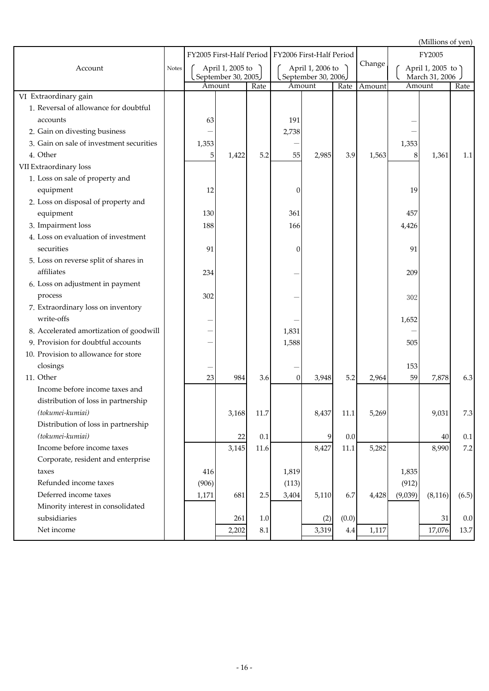(Millions of yen)

|                                          |              |        |                     |         | FY2005 First-Half Period   FY2006 First-Half Period |                                      |          |        | FY2005  |                  |         |
|------------------------------------------|--------------|--------|---------------------|---------|-----------------------------------------------------|--------------------------------------|----------|--------|---------|------------------|---------|
| Account                                  | <b>Notes</b> |        | April 1, 2005 to    |         |                                                     | April 1, 2006 to                     |          | Change |         | April 1, 2005 to |         |
|                                          |              | Amount | September 30, 2005. | Rate    |                                                     | September 30, 2006<br>Amount<br>Rate |          | Amount | Amount  | March 31, 2006   | Rate    |
| VI Extraordinary gain                    |              |        |                     |         |                                                     |                                      |          |        |         |                  |         |
| 1. Reversal of allowance for doubtful    |              |        |                     |         |                                                     |                                      |          |        |         |                  |         |
| accounts                                 |              | 63     |                     |         | 191                                                 |                                      |          |        |         |                  |         |
| 2. Gain on divesting business            |              |        |                     |         | 2,738                                               |                                      |          |        |         |                  |         |
| 3. Gain on sale of investment securities |              | 1,353  |                     |         |                                                     |                                      |          |        | 1,353   |                  |         |
| 4. Other                                 |              | 5      | 1,422               | 5.2     | 55                                                  | 2,985                                | 3.9      | 1,563  | 8       | 1,361            | 1.1     |
| VII Extraordinary loss                   |              |        |                     |         |                                                     |                                      |          |        |         |                  |         |
| 1. Loss on sale of property and          |              |        |                     |         |                                                     |                                      |          |        |         |                  |         |
| equipment                                |              | 12     |                     |         | 0                                                   |                                      |          |        | 19      |                  |         |
| 2. Loss on disposal of property and      |              |        |                     |         |                                                     |                                      |          |        |         |                  |         |
| equipment                                |              | 130    |                     |         | 361                                                 |                                      |          |        | 457     |                  |         |
| 3. Impairment loss                       |              | 188    |                     |         | 166                                                 |                                      |          |        | 4,426   |                  |         |
| 4. Loss on evaluation of investment      |              |        |                     |         |                                                     |                                      |          |        |         |                  |         |
| securities                               |              | 91     |                     |         | 0                                                   |                                      |          |        | 91      |                  |         |
| 5. Loss on reverse split of shares in    |              |        |                     |         |                                                     |                                      |          |        |         |                  |         |
| affiliates                               |              | 234    |                     |         |                                                     |                                      |          |        | 209     |                  |         |
| 6. Loss on adjustment in payment         |              |        |                     |         |                                                     |                                      |          |        |         |                  |         |
| process                                  |              | 302    |                     |         |                                                     |                                      |          |        | 302     |                  |         |
| 7. Extraordinary loss on inventory       |              |        |                     |         |                                                     |                                      |          |        |         |                  |         |
| write-offs                               |              |        |                     |         |                                                     |                                      |          |        | 1,652   |                  |         |
| 8. Accelerated amortization of goodwill  |              |        |                     |         | 1,831                                               |                                      |          |        |         |                  |         |
| 9. Provision for doubtful accounts       |              |        |                     |         | 1,588                                               |                                      |          |        | 505     |                  |         |
| 10. Provision to allowance for store     |              |        |                     |         |                                                     |                                      |          |        |         |                  |         |
| closings                                 |              |        |                     |         |                                                     |                                      |          |        | 153     |                  |         |
| 11. Other                                |              | 23     | 984                 | 3.6     | $\boldsymbol{0}$                                    | 3,948                                | 5.2      | 2,964  | 59      | 7,878            | 6.3     |
| Income before income taxes and           |              |        |                     |         |                                                     |                                      |          |        |         |                  |         |
| distribution of loss in partnership      |              |        |                     |         |                                                     |                                      |          |        |         |                  |         |
| (tokumei-kumiai)                         |              |        | 3,168               | 11.7    |                                                     | 8,437                                | $11.1\,$ | 5,269  |         | 9,031            | 7.3     |
| Distribution of loss in partnership      |              |        |                     |         |                                                     |                                      |          |        |         |                  |         |
| (tokumei-kumiai)                         |              |        | 22                  | 0.1     |                                                     | 9                                    | 0.0      |        |         | 40               | 0.1     |
| Income before income taxes               |              |        | 3,145               | 11.6    |                                                     | 8,427                                | 11.1     | 5,282  |         | 8,990            | $7.2\,$ |
| Corporate, resident and enterprise       |              |        |                     |         |                                                     |                                      |          |        |         |                  |         |
| taxes                                    |              | 416    |                     |         | 1,819                                               |                                      |          |        | 1,835   |                  |         |
| Refunded income taxes                    |              | (906)  |                     |         | (113)                                               |                                      |          |        | (912)   |                  |         |
| Deferred income taxes                    |              | 1,171  | 681                 | 2.5     | 3,404                                               | 5,110                                | 6.7      | 4,428  | (9,039) | (8, 116)         | (6.5)   |
| Minority interest in consolidated        |              |        |                     |         |                                                     |                                      |          |        |         |                  |         |
| subsidiaries                             |              |        | 261                 | $1.0\,$ |                                                     | (2)                                  | (0.0)    |        |         | 31               | 0.0     |
| Net income                               |              |        | 2,202               | 8.1     |                                                     | 3,319                                | $4.4\,$  | 1,117  |         | 17,076           | 13.7    |
|                                          |              |        |                     |         |                                                     |                                      |          |        |         |                  |         |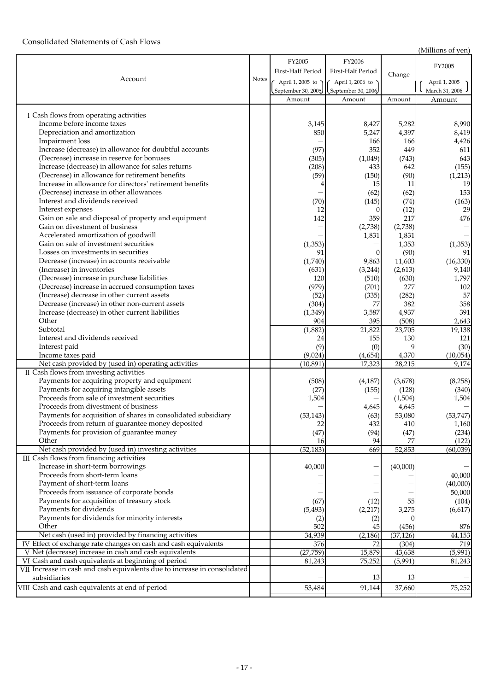## Consolidated Statements of Cash Flows

(Millions of yen)

|                                                                           |       |                   |                                         |             | $\cdots$         |
|---------------------------------------------------------------------------|-------|-------------------|-----------------------------------------|-------------|------------------|
|                                                                           |       | FY2005            | FY2006                                  |             |                  |
|                                                                           |       | First-Half Period | First-Half Period                       |             | FY2005           |
| Account                                                                   | Notes |                   |                                         | Change      |                  |
|                                                                           |       | April 1, 2005 to  | April 1, 2006 to                        |             | April 1, 2005    |
|                                                                           |       |                   | September 30, 2005   September 30, 2006 |             | March 31, 2006 . |
|                                                                           |       | Amount            | Amount                                  | Amount      | Amount           |
|                                                                           |       |                   |                                         |             |                  |
| I Cash flows from operating activities                                    |       |                   |                                         |             |                  |
| Income before income taxes                                                |       | 3,145             | 8,427                                   | 5,282       | 8,990            |
| Depreciation and amortization                                             |       | 850               | 5,247                                   | 4,397       | 8,419            |
| Impairment loss                                                           |       |                   | 166                                     | 166         | 4,426            |
| Increase (decrease) in allowance for doubtful accounts                    |       | (97)              | 352                                     | 449         | 611              |
| (Decrease) increase in reserve for bonuses                                |       | (305)             | (1,049)                                 | (743)       | 643              |
| Increase (decrease) in allowance for sales returns                        |       | (208)             | 433                                     | 642         | (155)            |
| (Decrease) in allowance for retirement benefits                           |       | (59)              | (150)                                   | (90)        | (1,213)          |
| Increase in allowance for directors' retirement benefits                  |       |                   | 15                                      | 11          | 19               |
| (Decrease) increase in other allowances                                   |       |                   | (62)                                    | (62)        | 153              |
| Interest and dividends received                                           |       | (70)              | (145)                                   | (74)        | (163)            |
| Interest expenses                                                         |       | 12                | $\overline{0}$                          | (12)        | 29               |
| Gain on sale and disposal of property and equipment                       |       | 142               | 359                                     | 217         | 476              |
| Gain on divestment of business                                            |       |                   | (2,738)                                 | (2,738)     |                  |
| Accelerated amortization of goodwill                                      |       |                   | 1,831                                   | 1,831       |                  |
| Gain on sale of investment securities                                     |       | (1, 353)          |                                         | 1,353       | (1, 353)         |
| Losses on investments in securities                                       |       | 91                | $\overline{0}$                          | (90)        | 91               |
| Decrease (increase) in accounts receivable                                |       |                   | 9,863                                   | 11,603      |                  |
|                                                                           |       | (1,740)           |                                         |             | (16, 330)        |
| (Increase) in inventories                                                 |       | (631)             | (3,244)                                 | (2,613)     | 9,140            |
| (Decrease) increase in purchase liabilities                               |       | 120               | (510)                                   | (630)       | 1,797            |
| (Decrease) increase in accrued consumption taxes                          |       | (979)             | (701)                                   | 277         | 102              |
| (Increase) decrease in other current assets                               |       | (52)              | (335)                                   | (282)       | 57               |
| Decrease (increase) in other non-current assets                           |       | (304)             | 77                                      | 382         | 358              |
| Increase (decrease) in other current liabilities                          |       | (1, 349)          | 3,587                                   | 4,937       | 391              |
| Other                                                                     |       | 904               | 395                                     | (508)       | 2,643            |
| Subtotal                                                                  |       | (1,882)           | 21,822                                  | 23,705      | 19,138           |
| Interest and dividends received                                           |       | 24                | 155                                     | 130         | 121              |
| Interest paid                                                             |       | (9)               | (0)                                     | $\mathbf Q$ | (30)             |
| Income taxes paid                                                         |       | (9,024)           | (4,654)                                 | 4,370       | (10,054)         |
| Net cash provided by (used in) operating activities                       |       | (10, 891)         | 17,323                                  | 28,215      | 9,174            |
| II Cash flows from investing activities                                   |       |                   |                                         |             |                  |
| Payments for acquiring property and equipment                             |       | (508)             | (4, 187)                                | (3,678)     | (8,258)          |
| Payments for acquiring intangible assets                                  |       | (27)              | (155)                                   | (128)       | (340)            |
| Proceeds from sale of investment securities                               |       | 1,504             |                                         | (1,504)     | 1,504            |
| Proceeds from divestment of business                                      |       |                   | 4,645                                   | 4,645       |                  |
| Payments for acquisition of shares in consolidated subsidiary             |       | (53, 143)         | (63)                                    | 53,080      | (53, 747)        |
| Proceeds from return of guarantee money deposited                         |       | 22                | 432                                     | 410         | 1,160            |
| Payments for provision of guarantee money                                 |       | (47)              | (94)                                    | (47)        | (234)            |
| Other                                                                     |       | 16                | 94                                      | 77          | (122)            |
| Net cash provided by (used in) investing activities                       |       | (52, 183)         | 669                                     | 52,853      | (60,039)         |
| III Cash flows from financing activities                                  |       |                   |                                         |             |                  |
| Increase in short-term borrowings                                         |       | 40,000            |                                         | (40,000)    |                  |
| Proceeds from short-term loans                                            |       |                   |                                         |             | 40,000           |
| Payment of short-term loans                                               |       |                   |                                         |             | (40,000)         |
| Proceeds from issuance of corporate bonds                                 |       |                   |                                         |             | 50,000           |
| Payments for acquisition of treasury stock                                |       | (67)              | (12)                                    | 55          | (104)            |
| Payments for dividends                                                    |       | (5, 493)          | (2,217)                                 | 3,275       | (6,617)          |
| Payments for dividends for minority interests                             |       |                   |                                         |             |                  |
| Other                                                                     |       | (2)<br>502        | (2)                                     |             |                  |
|                                                                           |       |                   | 45                                      | (456)       | 876              |
| Net cash (used in) provided by financing activities                       |       | 34,939            | (2, 186)                                | (37, 126)   | 44,153           |
| IV Effect of exchange rate changes on cash and cash equivalents           |       | 376               | 72                                      | (304)       | 719              |
| V Net (decrease) increase in cash and cash equivalents                    |       | (27, 759)         | 15,879                                  | 43,638      | (5,991)          |
| VI Cash and cash equivalents at beginning of period                       |       | 81,243            | 75,252                                  | (5,991)     | 81,243           |
| VII Increase in cash and cash equivalents due to increase in consolidated |       |                   |                                         |             |                  |
| subsidiaries                                                              |       |                   | 13                                      | 13          |                  |
| VIII Cash and cash equivalents at end of period                           |       | 53,484            | 91,144                                  | 37,660      | 75,252           |
|                                                                           |       |                   |                                         |             |                  |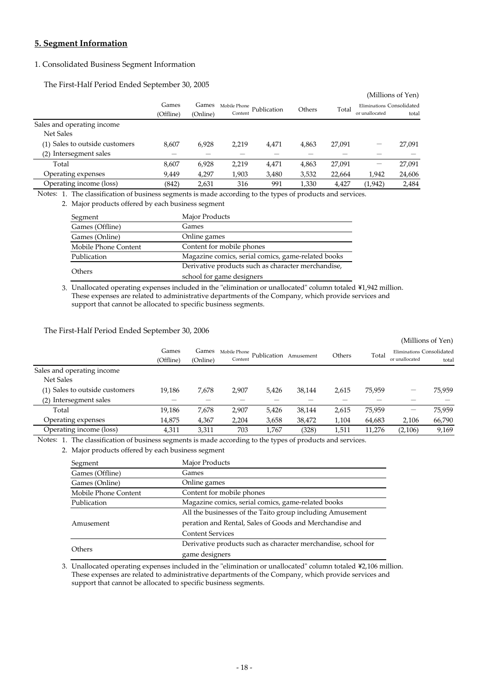## **5. Segment Information**

## 1. Consolidated Business Segment Information

The First-Half Period Ended September 30, 2005

|           |          |              |       |             |        |                           | (Millions of Yen) |
|-----------|----------|--------------|-------|-------------|--------|---------------------------|-------------------|
| Games     | Games    | Mobile Phone |       |             |        | Eliminations Consolidated |                   |
| (Offline) | (Online) | Content      |       |             |        | or unallocated            | total             |
|           |          |              |       |             |        |                           |                   |
|           |          |              |       |             |        |                           |                   |
| 8.607     | 6,928    | 2.219        | 4.471 | 4.863       | 27,091 |                           | 27,091            |
|           |          |              |       |             |        |                           |                   |
| 8,607     | 6,928    | 2,219        | 4,471 | 4,863       | 27,091 |                           | 27,091            |
| 9,449     | 4,297    | 1,903        | 3,480 | 3,532       | 22,664 | 1,942                     | 24,606            |
| (842)     | 2,631    | 316          | 991   | 1,330       | 4,427  | (1, 942)                  | 2,484             |
|           |          |              |       | Publication | Others | Total                     |                   |

Notes: 1. The classification of business segments is made according to the types of products and services.

2. Major products offered by each business segment

| Segment              | Major Products                                     |
|----------------------|----------------------------------------------------|
| Games (Offline)      | Games                                              |
| Games (Online)       | Online games                                       |
| Mobile Phone Content | Content for mobile phones                          |
| Publication          | Magazine comics, serial comics, game-related books |
| <b>Others</b>        | Derivative products such as character merchandise, |
|                      | school for game designers                          |

3. Unallocated operating expenses included in the "elimination or unallocated" column totaled \1,942 million. These expenses are related to administrative departments of the Company, which provide services and support that cannot be allocated to specific business segments.

## The First-Half Period Ended September 30, 2006

|                                |                    |                   |         |                             |           |        |        |                                             | (Millions of Yen) |
|--------------------------------|--------------------|-------------------|---------|-----------------------------|-----------|--------|--------|---------------------------------------------|-------------------|
|                                | Games<br>(Offline) | Games<br>(Online) | Content | Mobile Phone<br>Publication | Amusement | Others | Total  | Eliminations Consolidated<br>or unallocated | total             |
| Sales and operating income     |                    |                   |         |                             |           |        |        |                                             |                   |
| Net Sales                      |                    |                   |         |                             |           |        |        |                                             |                   |
| (1) Sales to outside customers | 19.186             | 7.678             | 2,907   | 5.426                       | 38.144    | 2,615  | 75.959 | –                                           | 75.959            |
| (2) Intersegment sales         |                    |                   |         |                             |           |        |        |                                             |                   |
| Total                          | 19,186             | 7,678             | 2,907   | 5,426                       | 38,144    | 2,615  | 75,959 |                                             | 75,959            |
| Operating expenses             | 14,875             | 4,367             | 2,204   | 3,658                       | 38,472    | 1,104  | 64,683 | 2,106                                       | 66,790            |
| Operating income (loss)        | 4,311              | 3,311             | 703     | 1.767                       | (328)     | 1,511  | 11,276 | (2,106)                                     | 9,169             |

Notes: 1. The classification of business segments is made according to the types of products and services.

2. Major products offered by each business segment

| Segment              | Major Products                                                |  |  |  |  |  |
|----------------------|---------------------------------------------------------------|--|--|--|--|--|
| Games (Offline)      | Games                                                         |  |  |  |  |  |
| Games (Online)       | Online games                                                  |  |  |  |  |  |
| Mobile Phone Content | Content for mobile phones                                     |  |  |  |  |  |
| Publication          | Magazine comics, serial comics, game-related books            |  |  |  |  |  |
|                      | All the businesses of the Taito group including Amusement     |  |  |  |  |  |
| Amusement            | peration and Rental, Sales of Goods and Merchandise and       |  |  |  |  |  |
|                      | <b>Content Services</b>                                       |  |  |  |  |  |
| Others               | Derivative products such as character merchandise, school for |  |  |  |  |  |
|                      | game designers                                                |  |  |  |  |  |

3. Unallocated operating expenses included in the "elimination or unallocated" column totaled \2,106 million. These expenses are related to administrative departments of the Company, which provide services and support that cannot be allocated to specific business segments.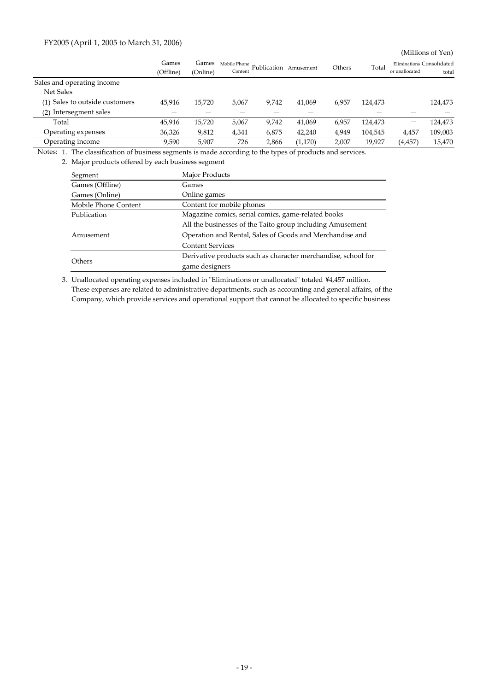## FY2005 (April 1, 2005 to March 31, 2006)

(Millions of Yen)

|                                | Games     | Games    | Mobile Phone<br>Publication |       | Amusement | Others | Total   |                | Eliminations Consolidated |
|--------------------------------|-----------|----------|-----------------------------|-------|-----------|--------|---------|----------------|---------------------------|
|                                | (Offline) | (Online) | Content                     |       |           |        |         | or unallocated | total                     |
| Sales and operating income     |           |          |                             |       |           |        |         |                |                           |
| Net Sales                      |           |          |                             |       |           |        |         |                |                           |
| (1) Sales to outside customers | 45,916    | 15,720   | 5,067                       | 9,742 | 41.069    | 6,957  | 124,473 | —              | 124,473                   |
| (2) Intersegment sales         |           |          |                             |       |           |        |         |                |                           |
| Total                          | 45.916    | 15,720   | 5,067                       | 9,742 | 41,069    | 6,957  | 124,473 |                | 124,473                   |
| Operating expenses             | 36,326    | 9,812    | 4,341                       | 6,875 | 42,240    | 4,949  | 104,545 | 4,457          | 109,003                   |
| Operating income               | 9.590     | 5.907    | 726                         | 2,866 | (1,170)   | 2,007  | 19.927  | (4, 457)       | 15,470                    |

Notes: 1. The classification of business segments is made according to the types of products and services.

2. Major products offered by each business segment

| Segment              | <b>Major Products</b>                                         |
|----------------------|---------------------------------------------------------------|
| Games (Offline)      | Games                                                         |
| Games (Online)       | Online games                                                  |
| Mobile Phone Content | Content for mobile phones                                     |
| Publication          | Magazine comics, serial comics, game-related books            |
|                      | All the businesses of the Taito group including Amusement     |
| Amusement            | Operation and Rental, Sales of Goods and Merchandise and      |
|                      | <b>Content Services</b>                                       |
|                      | Derivative products such as character merchandise, school for |
| <b>Others</b>        | game designers                                                |

3. Unallocated operating expenses included in "Eliminations or unallocated" totaled ¥4,457 million. These expenses are related to administrative departments, such as accounting and general affairs, of the Company, which provide services and operational support that cannot be allocated to specific business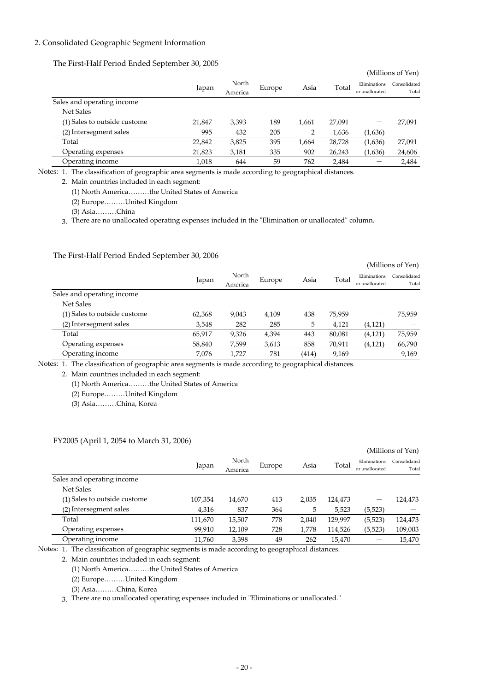## 2. Consolidated Geographic Segment Information

## The First-Half Period Ended September 30, 2005

|        |                  |        |       |        |                                | (Millions of Yen)     |
|--------|------------------|--------|-------|--------|--------------------------------|-----------------------|
| Japan  | North<br>America | Europe | Asia  | Total  | Eliminations<br>or unallocated | Consolidated<br>Total |
|        |                  |        |       |        |                                |                       |
|        |                  |        |       |        |                                |                       |
| 21,847 | 3,393            | 189    | 1,661 | 27,091 | -                              | 27,091                |
| 995    | 432              | 205    | 2     | 1,636  | (1,636)                        |                       |
| 22,842 | 3,825            | 395    | 1.664 | 28,728 | (1,636)                        | 27,091                |
| 21,823 | 3,181            | 335    | 902   | 26,243 | (1,636)                        | 24,606                |
| 1,018  | 644              | 59     | 762   | 2,484  |                                | 2,484                 |
|        |                  |        |       |        |                                |                       |

Notes: 1. The classification of geographic area segments is made according to geographical distances.

2. Main countries included in each segment:

(1) North America………the United States of America

(2) Europe………United Kingdom

(3) Asia………China

3. There are no unallocated operating expenses included in the "Elimination or unallocated" column.

## The First-Half Period Ended September 30, 2006

|                              |        |                  |        |       |        |                                | (Millions of Yen)     |
|------------------------------|--------|------------------|--------|-------|--------|--------------------------------|-----------------------|
|                              | Japan  | North<br>America | Europe | Asia  | Total  | Eliminations<br>or unallocated | Consolidated<br>Total |
| Sales and operating income   |        |                  |        |       |        |                                |                       |
| <b>Net Sales</b>             |        |                  |        |       |        |                                |                       |
| (1) Sales to outside custome | 62,368 | 9,043            | 4,109  | 438   | 75,959 | –                              | 75,959                |
| (2) Intersegment sales       | 3,548  | 282              | 285    | 5     | 4,121  | (4, 121)                       |                       |
| Total                        | 65,917 | 9,326            | 4,394  | 443   | 80,081 | (4, 121)                       | 75,959                |
| Operating expenses           | 58,840 | 7,599            | 3,613  | 858   | 70,911 | (4, 121)                       | 66,790                |
| Operating income             | 7,076  | 1.727            | 781    | (414) | 9,169  |                                | 9,169                 |

Notes: 1. The classification of geographic area segments is made according to geographical distances.

2. Main countries included in each segment:

(1) North America………the United States of America

(2) Europe………United Kingdom

(3) Asia………China, Korea

### FY2005 (April 1, 2054 to March 31, 2006)

|                              |         |                  |        |       |         |                                | (Millions of Yen)     |
|------------------------------|---------|------------------|--------|-------|---------|--------------------------------|-----------------------|
|                              | Japan   | North<br>America | Europe | Asia  | Total   | Eliminations<br>or unallocated | Consolidated<br>Total |
| Sales and operating income   |         |                  |        |       |         |                                |                       |
| <b>Net Sales</b>             |         |                  |        |       |         |                                |                       |
| (1) Sales to outside custome | 107,354 | 14,670           | 413    | 2,035 | 124,473 |                                | 124,473               |
| (2) Intersegment sales       | 4,316   | 837              | 364    | 5     | 5,523   | (5, 523)                       |                       |
| Total                        | 111,670 | 15,507           | 778    | 2,040 | 129,997 | (5,523)                        | 124,473               |
| Operating expenses           | 99,910  | 12.109           | 728    | 1,778 | 114,526 | (5, 523)                       | 109,003               |
| Operating income             | 11.760  | 3,398            | 49     | 262   | 15.470  |                                | 15.470                |

Notes: 1. The classification of geographic segments is made according to geographical distances.

2. Main countries included in each segment:

(1) North America………the United States of America

(2) Europe………United Kingdom

(3) Asia………China, Korea

3. There are no unallocated operating expenses included in "Eliminations or unallocated."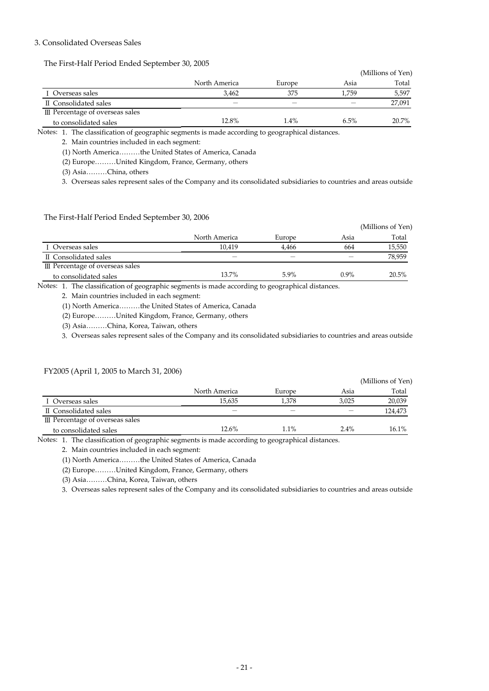## 3. Consolidated Overseas Sales

The First-Half Period Ended September 30, 2005

|                                  |               |        |       | (Millions of Yen) |
|----------------------------------|---------------|--------|-------|-------------------|
|                                  | North America | Europe | Asia  | Total             |
| I Overseas sales                 | 3.462         | 375    | 1.759 | 5,597             |
| <b>II</b> Consolidated sales     |               |        |       | 27,091            |
| III Percentage of overseas sales |               |        |       |                   |
| to consolidated sales            | 12.8%         | 1.4%   | 6.5%  | 20.7%             |

Notes: 1. The classification of geographic segments is made according to geographical distances.

2. Main countries included in each segment:

(1) North America………the United States of America, Canada

(2) Europe………United Kingdom, France, Germany, others

(3) Asia………China, others

3. Overseas sales represent sales of the Company and its consolidated subsidiaries to countries and areas outside

The First-Half Period Ended September 30, 2006

|                                  |               |        |      | (Millions of Yen) |
|----------------------------------|---------------|--------|------|-------------------|
|                                  | North America | Europe | Asia | Total             |
| I Overseas sales                 | 10.419        | 4.466  | 664  | 15,550            |
| II Consolidated sales            |               |        |      | 78,959            |
| III Percentage of overseas sales |               |        |      |                   |
| to consolidated sales            | 13.7%         | 5.9%   | 0.9% | 20.5%             |

Notes: 1. The classification of geographic segments is made according to geographical distances.

2. Main countries included in each segment:

(1) North America………the United States of America, Canada

(2) Europe………United Kingdom, France, Germany, others

(3) Asia………China, Korea, Taiwan, others

FY2005 (April 1, 2005 to March 31, 2006)

3. Overseas sales represent sales of the Company and its consolidated subsidiaries to countries and areas outside

|                                  |               |         |         | (Millions of Yen) |
|----------------------------------|---------------|---------|---------|-------------------|
|                                  | North America | Europe  | Asia    | Total             |
| I Overseas sales                 | 15,635        | 1.378   | 3.025   | 20,039            |
| II Consolidated sales            |               |         |         | 124,473           |
| III Percentage of overseas sales |               |         |         |                   |
| to consolidated sales            | 12.6%         | $1.1\%$ | $2.4\%$ | $16.1\%$          |

Notes: 1. The classification of geographic segments is made according to geographical distances.

2. Main countries included in each segment:

(1) North America………the United States of America, Canada

(2) Europe………United Kingdom, France, Germany, others

(3) Asia………China, Korea, Taiwan, others

3. Overseas sales represent sales of the Company and its consolidated subsidiaries to countries and areas outside